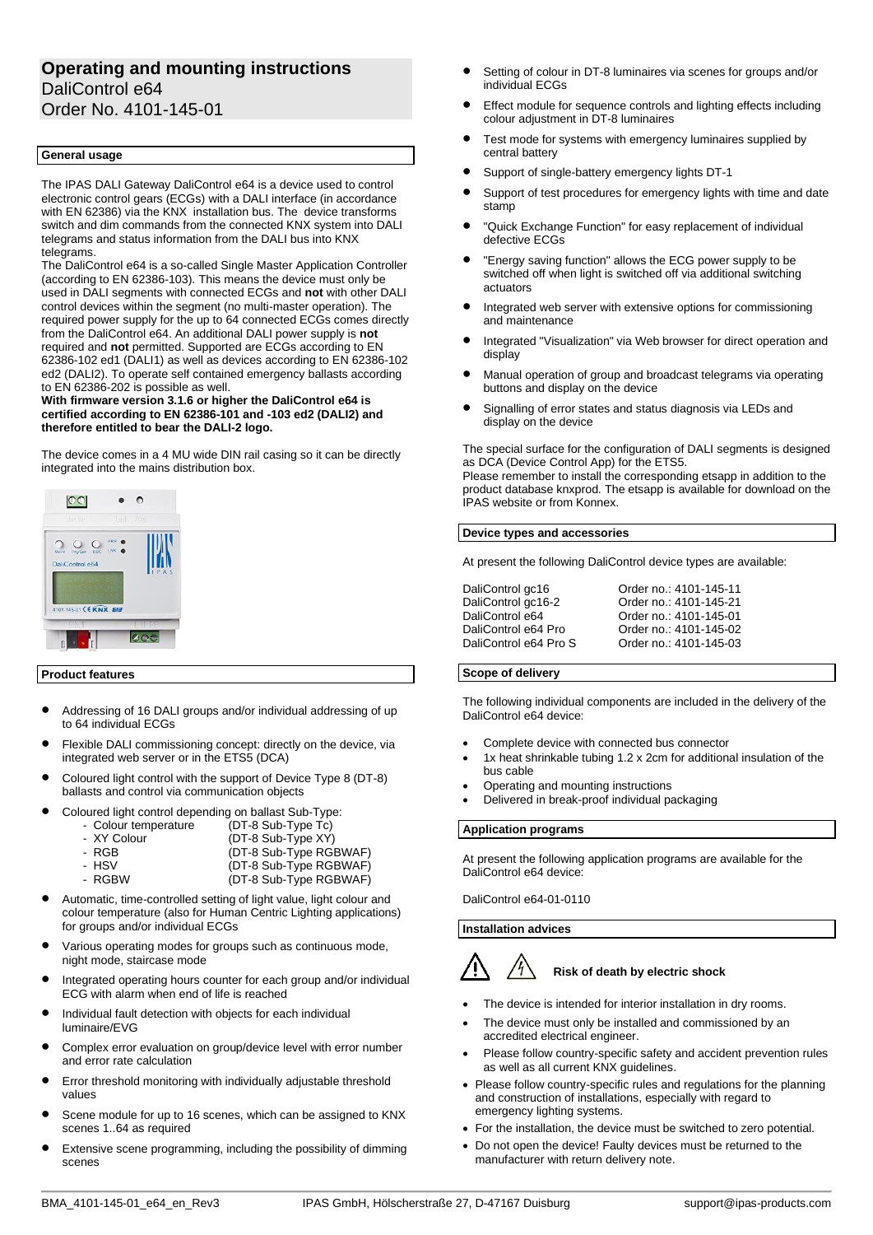## **Operating and mounting instructions** DaliControl e64 Order No. 4101-145-01

## **General usage**

The IPAS DALI Gateway DaliControl e64 is a device used to control electronic control gears (ECGs) with a DALI interface (in accordance with EN 62386) via the KNX installation bus. The device transforms switch and dim commands from the connected KNX system into DALI telegrams and status information from the DALI bus into KNX telegrams.

The DaliControl e64 is a so-called Single Master Application Controller (according to EN 62386-103). This means the device must only be used in DALI segments with connected ECGs and **not** with other DALI control devices within the segment (no multi-master operation). The required power supply for the up to 64 connected ECGs comes directly from the DaliControl e64. An additional DALI power supply is **not**  required and **not** permitted. Supported are ECGs according to EN 62386-102 ed1 (DALI1) as well as devices according to EN 62386-102 ed2 (DALI2). To operate self contained emergency ballasts according to EN 62386-202 is possible as well.

## **With firmware version 3.1.6 or higher the DaliControl e64 is certified according to EN 62386-101 and -103 ed2 (DALI2) and therefore entitled to bear the DALI-2 logo.**

The device comes in a 4 MU wide DIN rail casing so it can be directly integrated into the mains distribution box.



## **Product features**

- Addressing of 16 DALI groups and/or individual addressing of up to 64 individual ECGs
- Flexible DALI commissioning concept: directly on the device, via integrated web server or in the ETS5 (DCA)
- Coloured light control with the support of Device Type 8 (DT-8) ballasts and control via communication objects
- Coloured light control depending on ballast Sub-Type:

| .<br>- Colour temperature | .<br>(DT-8 Sub-Type Tc) |
|---------------------------|-------------------------|
| - XY Colour               | (DT-8 Sub-Type XY)      |
| - RGB                     | (DT-8 Sub-Type RGBWAF)  |

| .     | $\sqrt{2}$ $\sqrt{2}$ $\sqrt{2}$ $\sqrt{2}$ $\sqrt{2}$ $\sqrt{2}$ $\sqrt{2}$ $\sqrt{2}$ $\sqrt{2}$ $\sqrt{2}$ $\sqrt{2}$ $\sqrt{2}$ $\sqrt{2}$ $\sqrt{2}$ $\sqrt{2}$ $\sqrt{2}$ $\sqrt{2}$ $\sqrt{2}$ $\sqrt{2}$ $\sqrt{2}$ $\sqrt{2}$ $\sqrt{2}$ $\sqrt{2}$ $\sqrt{2}$ $\sqrt{2}$ $\sqrt{2}$ $\sqrt{2}$ $\sqrt{2$ |
|-------|--------------------------------------------------------------------------------------------------------------------------------------------------------------------------------------------------------------------------------------------------------------------------------------------------------------------|
| - HSV | (DT-8 Sub-Type RGBWAF)                                                                                                                                                                                                                                                                                             |
|       |                                                                                                                                                                                                                                                                                                                    |

- RGBW (DT-8 Sub-Type RGBWAF)
- Automatic, time-controlled setting of light value, light colour and colour temperature (also for Human Centric Lighting applications) for groups and/or individual ECGs
- Various operating modes for groups such as continuous mode, night mode, staircase mode
- Integrated operating hours counter for each group and/or individual ECG with alarm when end of life is reached
- Individual fault detection with objects for each individual luminaire/EVG
- Complex error evaluation on group/device level with error number and error rate calculation
- Error threshold monitoring with individually adjustable threshold values
- Scene module for up to 16 scenes, which can be assigned to KNX scenes 1..64 as required
- Extensive scene programming, including the possibility of dimming scenes
- Setting of colour in DT-8 luminaires via scenes for groups and/or individual ECGs
- Effect module for sequence controls and lighting effects including colour adjustment in DT-8 luminaires
- Test mode for systems with emergency luminaires supplied by central battery
- Support of single-battery emergency lights DT-1
- Support of test procedures for emergency lights with time and date stamp
- "Quick Exchange Function" for easy replacement of individual defective ECGs
- "Energy saving function" allows the ECG power supply to be switched off when light is switched off via additional switching actuators
- Integrated web server with extensive options for commissioning and maintenance
- Integrated "Visualization" via Web browser for direct operation and display
- Manual operation of group and broadcast telegrams via operating buttons and display on the device
- Signalling of error states and status diagnosis via LEDs and display on the device

The special surface for the configuration of DALI segments is designed as DCA (Device Control App) for the ETS5.

Please remember to install the corresponding etsapp in addition to the product database knxprod. The etsapp is available for download on the IPAS website or from Konnex.

## **Device types and accessories**

At present the following DaliControl device types are available:

| DaliControl gc16      | Order no.: 4101-145-11 |
|-----------------------|------------------------|
| DaliControl gc16-2    | Order no.: 4101-145-21 |
| DaliControl e64       | Order no.: 4101-145-01 |
|                       |                        |
| DaliControl e64 Pro   | Order no.: 4101-145-02 |
| DaliControl e64 Pro S | Order no.: 4101-145-03 |

## **Scope of delivery**

The following individual components are included in the delivery of the DaliControl e64 device:

- Complete device with connected bus connector
- 1x heat shrinkable tubing 1.2 x 2cm for additional insulation of the bus cable
- Operating and mounting instructions
- Delivered in break-proof individual packaging

## **Application programs**

At present the following application programs are available for the DaliControl e64 device:

DaliControl e64-01-0110

## **Installation advices**

# **Risk of death by electric shock**

- The device is intended for interior installation in dry rooms.
- The device must only be installed and commissioned by an accredited electrical engineer.
- Please follow country-specific safety and accident prevention rules as well as all current KNX guidelines.
- Please follow country-specific rules and regulations for the planning and construction of installations, especially with regard to emergency lighting systems.
- For the installation, the device must be switched to zero potential.
- Do not open the device! Faulty devices must be returned to the manufacturer with return delivery note.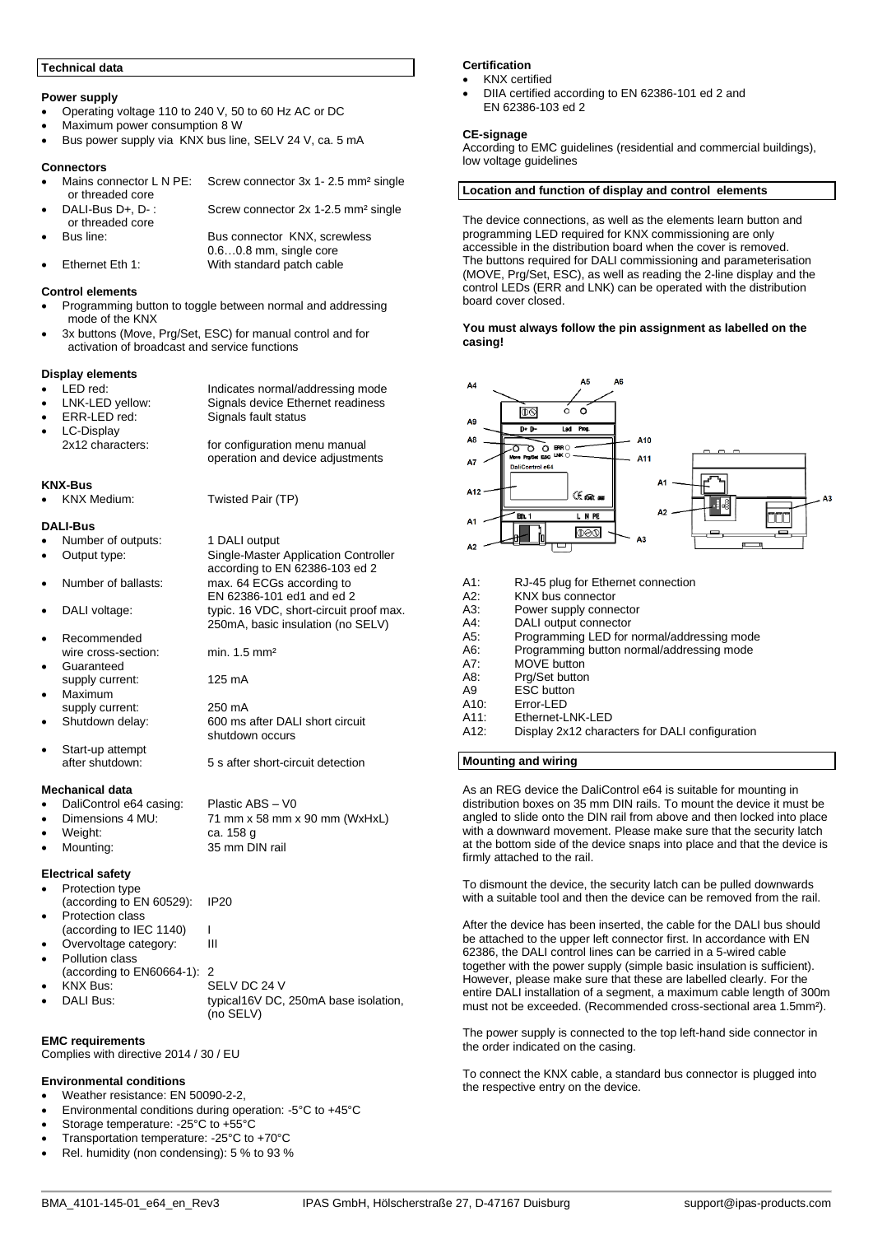## **Technical data**

## **Power supply**

- Operating voltage 110 to 240 V, 50 to 60 Hz AC or DC
- Maximum power consumption 8 W
- Bus power supply via KNX bus line, SELV 24 V, ca. 5 mA

#### **Connectors**

Mains connector L N PE: Screw connector 3x 1-2.5 mm<sup>2</sup> single or threaded core<br>DALI-Bus D+, D-: Screw connector 2x 1-2.5 mm<sup>2</sup> single

or threaded core<br>Bus line: Bus connector KNX, screwless 0.6…0.8 mm, single core • Ethernet Eth 1: With standard patch cable

#### **Control elements**

- Programming button to toggle between normal and addressing mode of the KNX
- 3x buttons (Move, Prg/Set, ESC) for manual control and for activation of broadcast and service functions

#### **Display elements**

| <b>PROPICY VIGHTONG</b> |                                                                   |
|-------------------------|-------------------------------------------------------------------|
| $\bullet$ LED red:      | Indicates normal/addressing mode                                  |
| • LNK-LED yellow:       | Signals device Ethernet readiness                                 |
| $\bullet$ ERR-LED red:  | Signals fault status                                              |
| • LC-Display            |                                                                   |
| 2x12 characters:        | for configuration menu manual<br>operation and device adjustments |

1 DALI output

shutdown occurs

according to EN 62386-103 ed 2

250mA, basic insulation (no SELV)

EN 62386-101 ed1 and ed 2

#### **KNX-Bus**

• KNX Medium: Twisted Pair (TP)

#### **DALI-Bus**

|  |  |  |  | Number of outputs: |  |
|--|--|--|--|--------------------|--|
|--|--|--|--|--------------------|--|

- Output type: Single-Master Application Controller
- Number of ballasts: max. 64 ECGs according to
- DALI voltage: typic. 16 VDC, short-circuit proof max.
- Recommended wire cross-section: min. 1.5 mm<sup>2</sup>
- **Guaranteed** supply current: 125 mA
- Maximum supply current: 250 mA
- Shutdown delay: 600 ms after DALI short circuit
- Start-up attempt after shutdown: 5 s after short-circuit detection

#### **Mechanical data**

- DaliControl e64 casing: Plastic ABS V0
- Dimensions 4 MU: 71 mm x 58 mm x 90 mm (WxHxL)
- Weight: ca. 158 g
- Mounting: 35 mm DIN rail

## **Electrical safety**

- Protection type (according to EN 60529): IP20 Protection class
- (according to IEC 1140) |<br>Overvoltage category: | | | |
- Overvoltage category: Pollution class
- (according to EN60664-1): 2 • KNX Bus: SELV DC 24 V DALI Bus: typical16V DC, 250mA base isolation, (no SELV)

## **EMC requirements**

Complies with directive 2014 / 30 / EU

## **Environmental conditions**

- Weather resistance: EN 50090-2-2,
- Environmental conditions during operation: -5°C to +45°C
- Storage temperature: -25°C to +55°C
- Transportation temperature: -25°C to +70°C
- Rel. humidity (non condensing): 5 % to 93 %

## **Certification**

- KNX certified
- DIIA certified according to EN 62386-101 ed 2 and EN 62386-103 ed 2

## **CE-signage**

According to EMC guidelines (residential and commercial buildings), low voltage guidelines

## **Location and function of display and control elements**

The device connections, as well as the elements learn button and programming LED required for KNX commissioning are only accessible in the distribution board when the cover is removed. The buttons required for DALI commissioning and parameterisation (MOVE, Prg/Set, ESC), as well as reading the 2-line display and the control LEDs (ERR and LNK) can be operated with the distribution board cover closed.

#### **You must always follow the pin assignment as labelled on the casing!**



## **Mounting and wiring**

As an REG device the DaliControl e64 is suitable for mounting in distribution boxes on 35 mm DIN rails. To mount the device it must be angled to slide onto the DIN rail from above and then locked into place with a downward movement. Please make sure that the security latch at the bottom side of the device snaps into place and that the device is firmly attached to the rail.

To dismount the device, the security latch can be pulled downwards with a suitable tool and then the device can be removed from the rail.

After the device has been inserted, the cable for the DALI bus should be attached to the upper left connector first. In accordance with EN 62386, the DALI control lines can be carried in a 5-wired cable together with the power supply (simple basic insulation is sufficient). However, please make sure that these are labelled clearly. For the entire DALI installation of a segment, a maximum cable length of 300m must not be exceeded. (Recommended cross-sectional area 1.5mm²).

The power supply is connected to the top left-hand side connector in the order indicated on the casing.

To connect the KNX cable, a standard bus connector is plugged into the respective entry on the device.